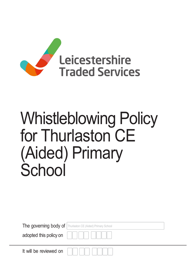

# Whistleblowing Policy for Thurlaston CE (Aided) Primary **School**

The governing body of Thurlaston CE (Aided) Primary School

adopted this policy on

It will be reviewed on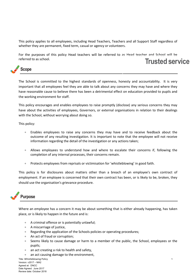This policy applies to all employees, including Head Teachers, Teachers and all Support Staff regardless of whether they are permanent, fixed term, casual or agency or volunteers.

For the purposes of this policy Head teachers will be referred to as Head teacher and School will be referred to as school. Trusted service



The School is committed to the highest standards of openness, honesty and accountability. It is very important that all employees feel they are able to talk about any concerns they may have and where they have reasonable cause to believe there has been a detrimental effect on education provided to pupils and the working environment for staff.

This policy encourages and enables employees to raise promptly (disclose) any serious concerns they may have about the activities of employees, Governors, or external organisations in relation to their dealings with the School, without worrying about doing so.

This policy:

- Enables employees to raise any concerns they may have and to receive feedback about the outcome of any resulting investigation. It is important to note that the employee will not receive information regarding the detail of the investigation or any actions taken;
- Allows employees to understand how and where to escalate their concerns if, following the completion of any internal processes, their concerns remain.
- **•** Protects employees from reprisals or victimisation for 'whistleblowing' in good faith.

This policy is for disclosures about matters other than a breach of an employee's own contract of employment. If an employee is concerned that their own contract has been, or is likely to be, broken, they should use the organisation's grievance procedure.



Where an employee has a concern it may be about something that is either already happening, has taken place, or is likely to happen in the future and is:

- A criminal offence or is potentially unlawful;
- A miscarriage of justice,
- Regarding the application of the Schools policies or operating procedures;
- An act of fraud or corruption;
- Seems likely to cause damage or harm to a member of the public, the School, employees or the pupils;
- an act creating a risk to health and safety,
- an act causing damage to the environment,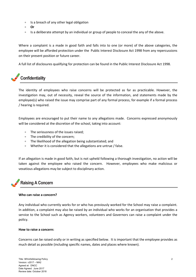- **Is a breach of any other legal obligation**
- Or
- $\bullet$  Is a deliberate attempt by an individual or group of people to conceal the any of the above.

Where a complaint is a made in good faith and falls into to one (or more) of the above categories, the employee will be afforded protection under the Public Interest Disclosure Act 1998 from any repercussions on their present position or future career.

A full list of disclosures qualifying for protection can be found in the Public Interest Disclosure Act 1998.

# **Confidentiality**

The identity of employees who raise concerns will be protected as far as practicable. However, the investigation may, out of necessity, reveal the source of the information, and statements made by the employee(s) who raised the issue may comprise part of any formal process, for example if a formal process / hearing is required.

Employees are encouraged to put their name to any allegations made. Concerns expressed anonymously will be considered at the discretion of the school, taking into account:

- The seriousness of the issues raised;
- The credibility of the concern:
- The likelihood of the allegation being substantiated; and
- Whether it is considered that the allegations are untrue / false.

If an allegation is made in good faith, but is not upheld following a thorough investigation, no action will be taken against the employee who raised the concern. However, employees who make malicious or vexatious allegations may be subject to disciplinary action.

## Raising A Concern

## Who can raise a concern?

Any individual who currently works for or who has previously worked for the School may raise a complaint. In addition, a complaint may also be raised by an individual who works for an organisation that provides a service to the School such as Agency workers, volunteers and Governors can raise a complaint under the policy.

## How to raise a concern:

Concerns can be raised orally or in writing as specified below. It is important that the employee provides as much detail as possible (including specific names, dates and places where known).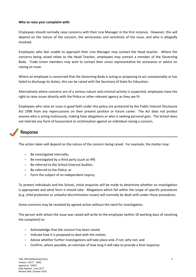#### Who to raise your complaint with:

Employees should normally raise concerns with their Line Manager in the first instance. However, this will depend on the nature of the concern, the seriousness and sensitivity of the issue, and who is allegedly involved.

Employees who feel unable to approach their Line Manager may contact the Head teacher. Where the concerns being raised relate to the Head Teacher, employees may contact a member of the Governing Body. Trade Union members may wish to contact their union representative for assistance or advice on raising an issue.

Where an employee is concerned that the Governing Body is acting or proposing to act unreasonably or has failed to discharge its duties, this can be raised with the Secretary of State for Education.

Alternatively where concerns are of a serious nature and criminal activity is suspected, employees have the right to raise issues directly with the Police or other relevant agency as they see fit.

Employees who raise an issue in good faith under this policy are protected by the Public Interest Disclosure Act 1998 from any repercussions on their present position or future career. The Act does not protect anyone who is acting maliciously, making false allegations or who is seeking personal gain. The School does not tolerate any form of harassment or victimisation against an individual raising a concern.

## Response

The action taken will depend on the nature of the concern being raised. For example, the matter may:

- Be investigated internally;
- Be investigated by a third party (such as HR)
- Be referred to the School External Auditor;
- Be referred to the Police: or
- Form the subject of an independent inquiry.

To protect individuals and the School, initial enquiries will be made to determine whether an investigation is appropriate and what form it should take. Allegations which fall within the scope of specific procedures (e.g. child protection or unlawful discrimination issues) will normally be dealt with under those procedures.

Some concerns may be resolved by agreed action without the need for investigation.

The person with whom the issue was raised will write to the employee (within 10 working days of receiving the complaint) to:

- Acknowledge that the concern has been raised;
- Indicate how it is proposed to deal with the matter;
- Advise whether further investigations will take place and, if not, why not; and
- Confirm, where possible, an estimate of how long it will take to provide a final response.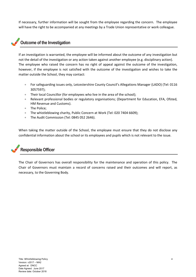If necessary, further information will be sought from the employee regarding the concern. The employee will have the right to be accompanied at any meetings by a Trade Union representative or work colleague.

## Outcome of the Investigation

If an investigation is warranted, the employee will be informed about the outcome of any investigation but not the detail of the investigation or any action taken against another employee (e.g. disciplinary action). The employee who raised the concern has no right of appeal against the outcome of the investigation, however, if the employee is not satisfied with the outcome of the investigation and wishes to take the matter outside the School, they may contact:

- For safeguarding issues only, Leicestershire County Council's Allegations Manager (LADO) (Tel: 0116 3057597);
- Their local Councillor (for employees who live in the area of the school);
- Relevant professional bodies or regulatory organisations; (Department for Education, EFA, Ofsted, HM Revenue and Customs).
- The Police:
- The whistleblowing charity, Public Concern at Work (Tel: 020 7404 6609);
- The Audit Commission (Tel: 0845 052 2646).

When taking the matter outside of the School, the employee must ensure that they do not disclose any confidential information about the school or its employees and pupils which is not relevant to the issue.

# Responsible Officer

The Chair of Governors has overall responsibility for the maintenance and operation of this policy. The Chair of Governors must maintain a record of concerns raised and their outcomes and will report, as necessary, to the Governing Body.